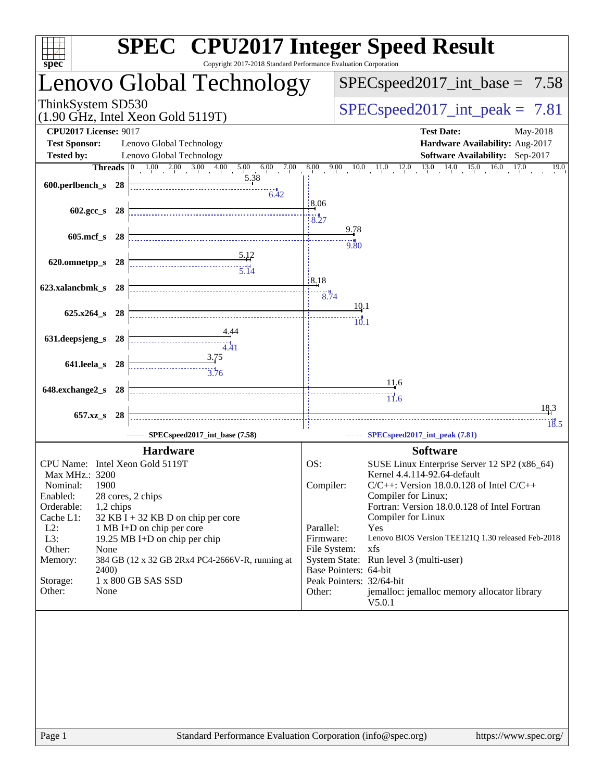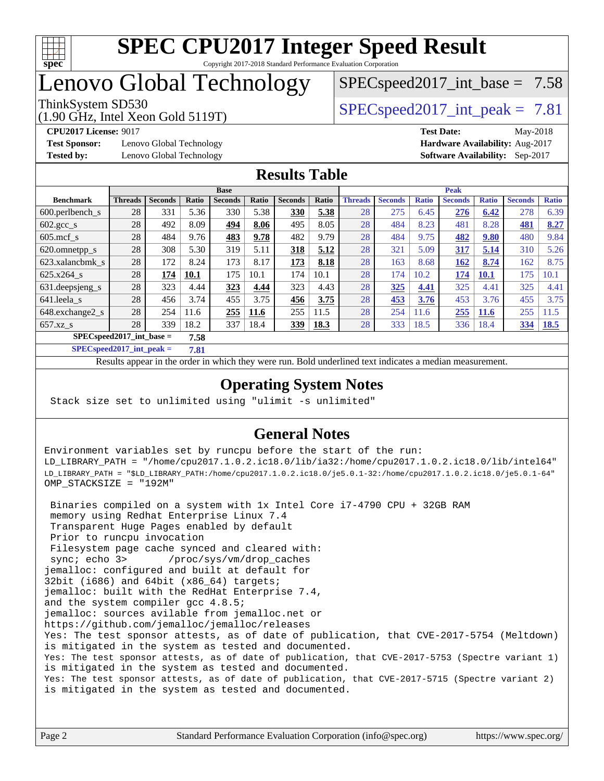

# Lenovo Global Technology

 $SPECspeed2017\_int\_base = 7.58$ 

(1.90 GHz, Intel Xeon Gold 5119T)

ThinkSystem SD530  $SPEC speed2017$  int peak = 7.81

**[Test Sponsor:](http://www.spec.org/auto/cpu2017/Docs/result-fields.html#TestSponsor)** Lenovo Global Technology **[Hardware Availability:](http://www.spec.org/auto/cpu2017/Docs/result-fields.html#HardwareAvailability)** Aug-2017 **[Tested by:](http://www.spec.org/auto/cpu2017/Docs/result-fields.html#Testedby)** Lenovo Global Technology **[Software Availability:](http://www.spec.org/auto/cpu2017/Docs/result-fields.html#SoftwareAvailability)** Sep-2017

**[CPU2017 License:](http://www.spec.org/auto/cpu2017/Docs/result-fields.html#CPU2017License)** 9017 **[Test Date:](http://www.spec.org/auto/cpu2017/Docs/result-fields.html#TestDate)** May-2018

#### **[Results Table](http://www.spec.org/auto/cpu2017/Docs/result-fields.html#ResultsTable)**

|                                     | <b>Base</b>    |                |       |                |       |                |             |                | <b>Peak</b>    |              |                |              |                |              |  |
|-------------------------------------|----------------|----------------|-------|----------------|-------|----------------|-------------|----------------|----------------|--------------|----------------|--------------|----------------|--------------|--|
| <b>Benchmark</b>                    | <b>Threads</b> | <b>Seconds</b> | Ratio | <b>Seconds</b> | Ratio | <b>Seconds</b> | Ratio       | <b>Threads</b> | <b>Seconds</b> | <b>Ratio</b> | <b>Seconds</b> | <b>Ratio</b> | <b>Seconds</b> | <b>Ratio</b> |  |
| $600.$ perlbench $_s$               | 28             | 331            | 5.36  | 330            | 5.38  | 330            | 5.38        | 28             | 275            | 6.45         | 276            | 6.42         | 278            | 6.39         |  |
| $602 \text{.} \text{gcc}\text{.}$ s | 28             | 492            | 8.09  | 494            | 8.06  | 495            | 8.05        | 28             | 484            | 8.23         | 481            | 8.28         | 481            | 8.27         |  |
| $605$ .mcf s                        | 28             | 484            | 9.76  | 483            | 9.78  | 482            | 9.79        | 28             | 484            | 9.75         | 482            | 9.80         | 480            | 9.84         |  |
| 620.omnetpp_s                       | 28             | 308            | 5.30  | 319            | 5.11  | 318            | 5.12        | 28             | 321            | 5.09         | 317            | 5.14         | 310            | 5.26         |  |
| 623.xalancbmk s                     | 28             | 172            | 8.24  | 173            | 8.17  | 173            | 8.18        | 28             | 163            | 8.68         | <b>162</b>     | 8.74         | 162            | 8.75         |  |
| $625.x264$ s                        | 28             | 174            | 10.1  | 175            | 10.1  | 174            | 10.1        | 28             | 174            | 10.2         | 174            | 10.1         | 175            | 10.1         |  |
| 631.deepsjeng_s                     | 28             | 323            | 4.44  | 323            | 4.44  | 323            | 4.43        | 28             | 325            | 4.41         | 325            | 4.41         | 325            | 4.41         |  |
| 641.leela_s                         | 28             | 456            | 3.74  | 455            | 3.75  | 456            | 3.75        | 28             | 453            | 3.76         | 453            | 3.76         | 455            | 3.75         |  |
| 648.exchange2_s                     | 28             | 254            | 11.6  | 255            | 11.6  | 255            | 11.5        | 28             | 254            | 11.6         | 255            | <b>11.6</b>  | 255            | 1.5          |  |
| $657.xz$ s                          | 28             | 339            | 18.2  | 337            | 18.4  | 339            | <u>18.3</u> | 28             | 333            | 18.5         | 336            | 18.4         | 334            | <u>18.5</u>  |  |
| $SPEC speed2017$ int base =<br>7.58 |                |                |       |                |       |                |             |                |                |              |                |              |                |              |  |

**[SPECspeed2017\\_int\\_peak =](http://www.spec.org/auto/cpu2017/Docs/result-fields.html#SPECspeed2017intpeak) 7.81**

Results appear in the [order in which they were run.](http://www.spec.org/auto/cpu2017/Docs/result-fields.html#RunOrder) Bold underlined text [indicates a median measurement](http://www.spec.org/auto/cpu2017/Docs/result-fields.html#Median).

### **[Operating System Notes](http://www.spec.org/auto/cpu2017/Docs/result-fields.html#OperatingSystemNotes)**

Stack size set to unlimited using "ulimit -s unlimited"

### **[General Notes](http://www.spec.org/auto/cpu2017/Docs/result-fields.html#GeneralNotes)**

Environment variables set by runcpu before the start of the run: LD\_LIBRARY\_PATH = "/home/cpu2017.1.0.2.ic18.0/lib/ia32:/home/cpu2017.1.0.2.ic18.0/lib/intel64" LD\_LIBRARY\_PATH = "\$LD\_LIBRARY\_PATH:/home/cpu2017.1.0.2.ic18.0/je5.0.1-32:/home/cpu2017.1.0.2.ic18.0/je5.0.1-64" OMP\_STACKSIZE = "192M"

 Binaries compiled on a system with 1x Intel Core i7-4790 CPU + 32GB RAM memory using Redhat Enterprise Linux 7.4 Transparent Huge Pages enabled by default Prior to runcpu invocation Filesystem page cache synced and cleared with: sync; echo 3> /proc/sys/vm/drop\_caches jemalloc: configured and built at default for 32bit (i686) and 64bit (x86\_64) targets; jemalloc: built with the RedHat Enterprise 7.4, and the system compiler gcc 4.8.5; jemalloc: sources avilable from jemalloc.net or <https://github.com/jemalloc/jemalloc/releases> Yes: The test sponsor attests, as of date of publication, that CVE-2017-5754 (Meltdown) is mitigated in the system as tested and documented. Yes: The test sponsor attests, as of date of publication, that CVE-2017-5753 (Spectre variant 1) is mitigated in the system as tested and documented. Yes: The test sponsor attests, as of date of publication, that CVE-2017-5715 (Spectre variant 2) is mitigated in the system as tested and documented.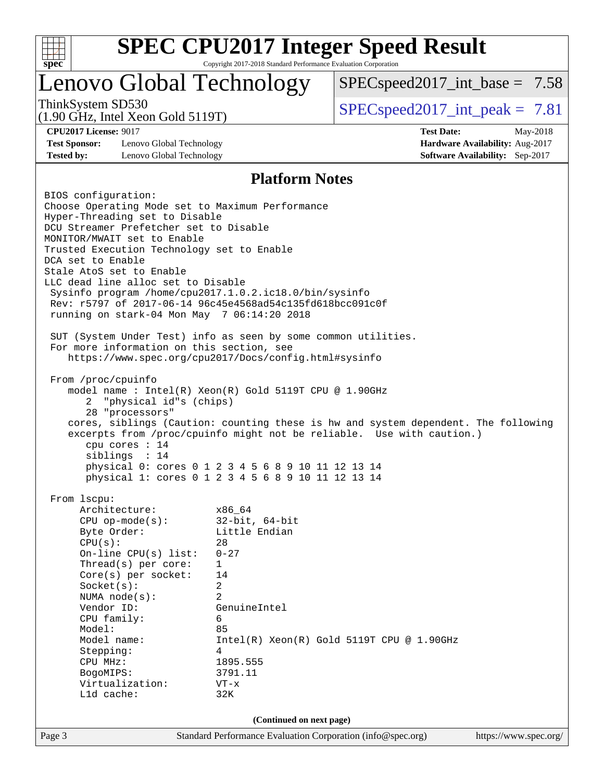

## Lenovo Global Technology

 $SPECspeed2017\_int\_base = 7.58$ 

(1.90 GHz, Intel Xeon Gold 5119T)

ThinkSystem SD530  $SPEC speed2017$  int peak = 7.81

**[Test Sponsor:](http://www.spec.org/auto/cpu2017/Docs/result-fields.html#TestSponsor)** Lenovo Global Technology **[Hardware Availability:](http://www.spec.org/auto/cpu2017/Docs/result-fields.html#HardwareAvailability)** Aug-2017 **[Tested by:](http://www.spec.org/auto/cpu2017/Docs/result-fields.html#Testedby)** Lenovo Global Technology **[Software Availability:](http://www.spec.org/auto/cpu2017/Docs/result-fields.html#SoftwareAvailability)** Sep-2017

**[CPU2017 License:](http://www.spec.org/auto/cpu2017/Docs/result-fields.html#CPU2017License)** 9017 **[Test Date:](http://www.spec.org/auto/cpu2017/Docs/result-fields.html#TestDate)** May-2018

#### **[Platform Notes](http://www.spec.org/auto/cpu2017/Docs/result-fields.html#PlatformNotes)**

Page 3 Standard Performance Evaluation Corporation [\(info@spec.org\)](mailto:info@spec.org) <https://www.spec.org/> BIOS configuration: Choose Operating Mode set to Maximum Performance Hyper-Threading set to Disable DCU Streamer Prefetcher set to Disable MONITOR/MWAIT set to Enable Trusted Execution Technology set to Enable DCA set to Enable Stale AtoS set to Enable LLC dead line alloc set to Disable Sysinfo program /home/cpu2017.1.0.2.ic18.0/bin/sysinfo Rev: r5797 of 2017-06-14 96c45e4568ad54c135fd618bcc091c0f running on stark-04 Mon May 7 06:14:20 2018 SUT (System Under Test) info as seen by some common utilities. For more information on this section, see <https://www.spec.org/cpu2017/Docs/config.html#sysinfo> From /proc/cpuinfo model name : Intel(R) Xeon(R) Gold 5119T CPU @ 1.90GHz 2 "physical id"s (chips) 28 "processors" cores, siblings (Caution: counting these is hw and system dependent. The following excerpts from /proc/cpuinfo might not be reliable. Use with caution.) cpu cores : 14 siblings : 14 physical 0: cores 0 1 2 3 4 5 6 8 9 10 11 12 13 14 physical 1: cores 0 1 2 3 4 5 6 8 9 10 11 12 13 14 From lscpu: Architecture: x86\_64 CPU op-mode(s): 32-bit, 64-bit Byte Order: Little Endian CPU(s): 28 On-line CPU(s) list: 0-27 Thread(s) per core: 1 Core(s) per socket: 14 Socket(s): 2 NUMA node(s): 2 Vendor ID: GenuineIntel CPU family: 6 Model: 85 Model name: Intel(R) Xeon(R) Gold 5119T CPU @ 1.90GHz Stepping: 4 CPU MHz: 1895.555 BogoMIPS: 3791.11 Virtualization: VT-x L1d cache: 32K **(Continued on next page)**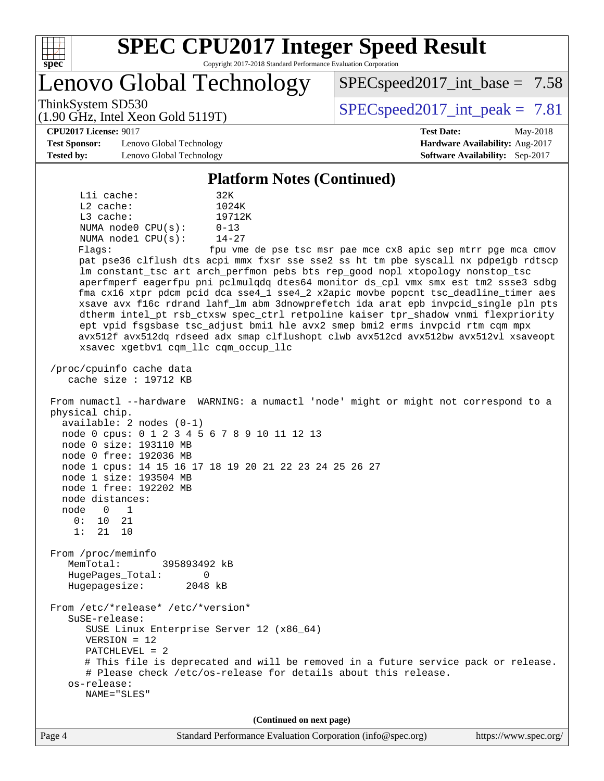

Lenovo Global Technology

ThinkSystem SD530  $SPEC speed2017$  int peak = 7.81

 $SPECspeed2017\_int\_base = 7.58$ 

#### **[CPU2017 License:](http://www.spec.org/auto/cpu2017/Docs/result-fields.html#CPU2017License)** 9017 **[Test Date:](http://www.spec.org/auto/cpu2017/Docs/result-fields.html#TestDate)** May-2018

**[Test Sponsor:](http://www.spec.org/auto/cpu2017/Docs/result-fields.html#TestSponsor)** Lenovo Global Technology **[Hardware Availability:](http://www.spec.org/auto/cpu2017/Docs/result-fields.html#HardwareAvailability)** Aug-2017 **[Tested by:](http://www.spec.org/auto/cpu2017/Docs/result-fields.html#Testedby)** Lenovo Global Technology **[Software Availability:](http://www.spec.org/auto/cpu2017/Docs/result-fields.html#SoftwareAvailability)** Sep-2017

(1.90 GHz, Intel Xeon Gold 5119T)

#### **[Platform Notes \(Continued\)](http://www.spec.org/auto/cpu2017/Docs/result-fields.html#PlatformNotes)**

 L1i cache: 32K L2 cache: 1024K L3 cache: 19712K NUMA node0 CPU(s): 0-13 NUMA node1 CPU(s): 14-27 Flags: fpu vme de pse tsc msr pae mce cx8 apic sep mtrr pge mca cmov pat pse36 clflush dts acpi mmx fxsr sse sse2 ss ht tm pbe syscall nx pdpe1gb rdtscp lm constant\_tsc art arch\_perfmon pebs bts rep\_good nopl xtopology nonstop\_tsc aperfmperf eagerfpu pni pclmulqdq dtes64 monitor ds\_cpl vmx smx est tm2 ssse3 sdbg fma cx16 xtpr pdcm pcid dca sse4\_1 sse4\_2 x2apic movbe popcnt tsc\_deadline\_timer aes xsave avx f16c rdrand lahf\_lm abm 3dnowprefetch ida arat epb invpcid\_single pln pts dtherm intel\_pt rsb\_ctxsw spec\_ctrl retpoline kaiser tpr\_shadow vnmi flexpriority ept vpid fsgsbase tsc\_adjust bmi1 hle avx2 smep bmi2 erms invpcid rtm cqm mpx avx512f avx512dq rdseed adx smap clflushopt clwb avx512cd avx512bw avx512vl xsaveopt xsavec xgetbv1 cqm\_llc cqm\_occup\_llc /proc/cpuinfo cache data cache size : 19712 KB From numactl --hardware WARNING: a numactl 'node' might or might not correspond to a physical chip. available: 2 nodes (0-1) node 0 cpus: 0 1 2 3 4 5 6 7 8 9 10 11 12 13 node 0 size: 193110 MB node 0 free: 192036 MB node 1 cpus: 14 15 16 17 18 19 20 21 22 23 24 25 26 27 node 1 size: 193504 MB node 1 free: 192202 MB node distances: node 0 1 0: 10 21 1: 21 10 From /proc/meminfo MemTotal: 395893492 kB HugePages\_Total: 0<br>Hugepagesize: 2048 kB Hugepagesize: From /etc/\*release\* /etc/\*version\* SuSE-release: SUSE Linux Enterprise Server 12 (x86\_64) VERSION = 12 PATCHLEVEL = 2 # This file is deprecated and will be removed in a future service pack or release. # Please check /etc/os-release for details about this release. os-release: NAME="SLES" **(Continued on next page)**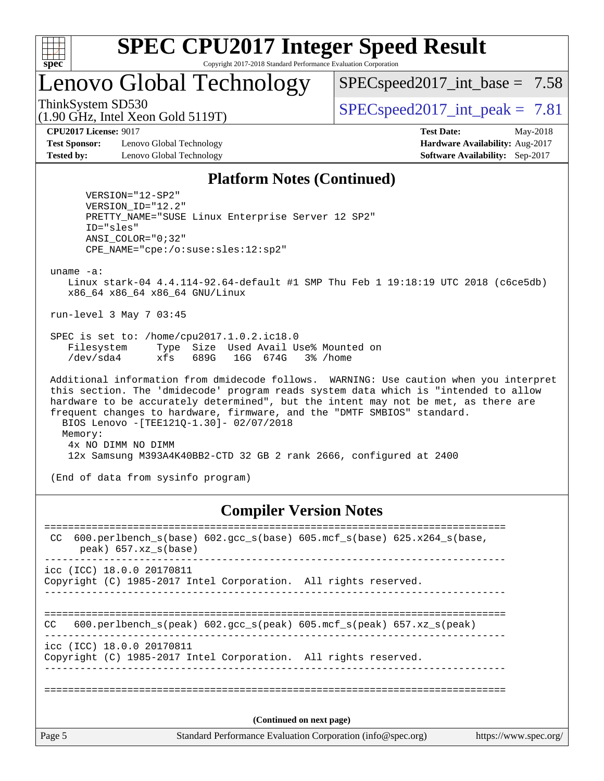

# Lenovo Global Technology

 $SPECspeed2017\_int\_base = 7.58$ 

(1.90 GHz, Intel Xeon Gold 5119T)

ThinkSystem SD530  $SPEC speed2017$  int peak = 7.81

**[Test Sponsor:](http://www.spec.org/auto/cpu2017/Docs/result-fields.html#TestSponsor)** Lenovo Global Technology **[Hardware Availability:](http://www.spec.org/auto/cpu2017/Docs/result-fields.html#HardwareAvailability)** Aug-2017 **[Tested by:](http://www.spec.org/auto/cpu2017/Docs/result-fields.html#Testedby)** Lenovo Global Technology **[Software Availability:](http://www.spec.org/auto/cpu2017/Docs/result-fields.html#SoftwareAvailability)** Sep-2017

**[CPU2017 License:](http://www.spec.org/auto/cpu2017/Docs/result-fields.html#CPU2017License)** 9017 **[Test Date:](http://www.spec.org/auto/cpu2017/Docs/result-fields.html#TestDate)** May-2018

#### **[Platform Notes \(Continued\)](http://www.spec.org/auto/cpu2017/Docs/result-fields.html#PlatformNotes)**

 VERSION="12-SP2" VERSION\_ID="12.2" PRETTY\_NAME="SUSE Linux Enterprise Server 12 SP2" ID="sles" ANSI\_COLOR="0;32" CPE\_NAME="cpe:/o:suse:sles:12:sp2"

uname -a:

 Linux stark-04 4.4.114-92.64-default #1 SMP Thu Feb 1 19:18:19 UTC 2018 (c6ce5db) x86\_64 x86\_64 x86\_64 GNU/Linux

run-level 3 May 7 03:45

 SPEC is set to: /home/cpu2017.1.0.2.ic18.0 Filesystem Type Size Used Avail Use% Mounted on /dev/sda4 xfs 689G 16G 674G 3% /home

 Additional information from dmidecode follows. WARNING: Use caution when you interpret this section. The 'dmidecode' program reads system data which is "intended to allow hardware to be accurately determined", but the intent may not be met, as there are frequent changes to hardware, firmware, and the "DMTF SMBIOS" standard. BIOS Lenovo -[TEE121Q-1.30]- 02/07/2018 Memory: 4x NO DIMM NO DIMM 12x Samsung M393A4K40BB2-CTD 32 GB 2 rank 2666, configured at 2400

(End of data from sysinfo program)

#### **[Compiler Version Notes](http://www.spec.org/auto/cpu2017/Docs/result-fields.html#CompilerVersionNotes)**

Page 5 Standard Performance Evaluation Corporation [\(info@spec.org\)](mailto:info@spec.org) <https://www.spec.org/> ============================================================================== CC 600.perlbench\_s(base) 602.gcc\_s(base) 605.mcf\_s(base) 625.x264\_s(base, peak) 657.xz\_s(base) ----------------------------------------------------------------------------- icc (ICC) 18.0.0 20170811 Copyright (C) 1985-2017 Intel Corporation. All rights reserved. ------------------------------------------------------------------------------ ============================================================================== CC 600.perlbench s(peak) 602.gcc s(peak) 605.mcf s(peak) 657.xz s(peak) ----------------------------------------------------------------------------- icc (ICC) 18.0.0 20170811 Copyright (C) 1985-2017 Intel Corporation. All rights reserved. ------------------------------------------------------------------------------ ============================================================================== **(Continued on next page)**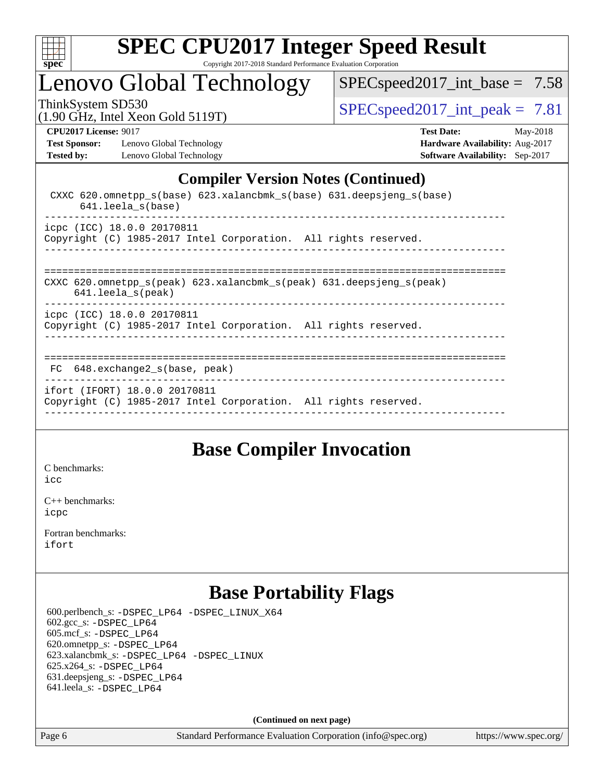

## Lenovo Global Technology

[SPECspeed2017\\_int\\_base =](http://www.spec.org/auto/cpu2017/Docs/result-fields.html#SPECspeed2017intbase) 7.58

(1.90 GHz, Intel Xeon Gold 5119T)

ThinkSystem SD530<br>(1.90 GHz, Intel Year Gold 5119T) [SPECspeed2017\\_int\\_peak =](http://www.spec.org/auto/cpu2017/Docs/result-fields.html#SPECspeed2017intpeak) 7.81

**[Test Sponsor:](http://www.spec.org/auto/cpu2017/Docs/result-fields.html#TestSponsor)** Lenovo Global Technology **[Hardware Availability:](http://www.spec.org/auto/cpu2017/Docs/result-fields.html#HardwareAvailability)** Aug-2017 **[Tested by:](http://www.spec.org/auto/cpu2017/Docs/result-fields.html#Testedby)** Lenovo Global Technology **[Software Availability:](http://www.spec.org/auto/cpu2017/Docs/result-fields.html#SoftwareAvailability)** Sep-2017

**[CPU2017 License:](http://www.spec.org/auto/cpu2017/Docs/result-fields.html#CPU2017License)** 9017 **[Test Date:](http://www.spec.org/auto/cpu2017/Docs/result-fields.html#TestDate)** May-2018

## **[Compiler Version Notes \(Continued\)](http://www.spec.org/auto/cpu2017/Docs/result-fields.html#CompilerVersionNotes)**

| CXXC 620.omnetpp $s(base)$ 623.xalancbmk $s(base)$ 631.deepsjeng $s(base)$<br>$641.$ leela $s(base)$                                  |
|---------------------------------------------------------------------------------------------------------------------------------------|
| icpc (ICC) 18.0.0 20170811<br>Copyright (C) 1985-2017 Intel Corporation. All rights reserved.<br>____________________________________ |
| CXXC 620.omnetpp $s(\text{peak})$ 623.xalancbmk $s(\text{peak})$ 631.deepsjeng $s(\text{peak})$<br>$641.$ leela_s(peak)               |
| icpc (ICC) 18.0.0 20170811<br>Copyright (C) 1985-2017 Intel Corporation. All rights reserved.                                         |
| 648.exchange2 s(base, peak)<br>FC.                                                                                                    |
| ifort (IFORT) 18.0.0 20170811<br>Copyright (C) 1985-2017 Intel Corporation. All rights reserved.                                      |

## **[Base Compiler Invocation](http://www.spec.org/auto/cpu2017/Docs/result-fields.html#BaseCompilerInvocation)**

[C benchmarks](http://www.spec.org/auto/cpu2017/Docs/result-fields.html#Cbenchmarks): [icc](http://www.spec.org/cpu2017/results/res2018q2/cpu2017-20180513-05479.flags.html#user_CCbase_intel_icc_18.0_66fc1ee009f7361af1fbd72ca7dcefbb700085f36577c54f309893dd4ec40d12360134090235512931783d35fd58c0460139e722d5067c5574d8eaf2b3e37e92)

[C++ benchmarks:](http://www.spec.org/auto/cpu2017/Docs/result-fields.html#CXXbenchmarks) [icpc](http://www.spec.org/cpu2017/results/res2018q2/cpu2017-20180513-05479.flags.html#user_CXXbase_intel_icpc_18.0_c510b6838c7f56d33e37e94d029a35b4a7bccf4766a728ee175e80a419847e808290a9b78be685c44ab727ea267ec2f070ec5dc83b407c0218cded6866a35d07)

[Fortran benchmarks](http://www.spec.org/auto/cpu2017/Docs/result-fields.html#Fortranbenchmarks): [ifort](http://www.spec.org/cpu2017/results/res2018q2/cpu2017-20180513-05479.flags.html#user_FCbase_intel_ifort_18.0_8111460550e3ca792625aed983ce982f94888b8b503583aa7ba2b8303487b4d8a21a13e7191a45c5fd58ff318f48f9492884d4413fa793fd88dd292cad7027ca)

## **[Base Portability Flags](http://www.spec.org/auto/cpu2017/Docs/result-fields.html#BasePortabilityFlags)**

 600.perlbench\_s: [-DSPEC\\_LP64](http://www.spec.org/cpu2017/results/res2018q2/cpu2017-20180513-05479.flags.html#b600.perlbench_s_basePORTABILITY_DSPEC_LP64) [-DSPEC\\_LINUX\\_X64](http://www.spec.org/cpu2017/results/res2018q2/cpu2017-20180513-05479.flags.html#b600.perlbench_s_baseCPORTABILITY_DSPEC_LINUX_X64) 602.gcc\_s: [-DSPEC\\_LP64](http://www.spec.org/cpu2017/results/res2018q2/cpu2017-20180513-05479.flags.html#suite_basePORTABILITY602_gcc_s_DSPEC_LP64) 605.mcf\_s: [-DSPEC\\_LP64](http://www.spec.org/cpu2017/results/res2018q2/cpu2017-20180513-05479.flags.html#suite_basePORTABILITY605_mcf_s_DSPEC_LP64) 620.omnetpp\_s: [-DSPEC\\_LP64](http://www.spec.org/cpu2017/results/res2018q2/cpu2017-20180513-05479.flags.html#suite_basePORTABILITY620_omnetpp_s_DSPEC_LP64) 623.xalancbmk\_s: [-DSPEC\\_LP64](http://www.spec.org/cpu2017/results/res2018q2/cpu2017-20180513-05479.flags.html#suite_basePORTABILITY623_xalancbmk_s_DSPEC_LP64) [-DSPEC\\_LINUX](http://www.spec.org/cpu2017/results/res2018q2/cpu2017-20180513-05479.flags.html#b623.xalancbmk_s_baseCXXPORTABILITY_DSPEC_LINUX) 625.x264\_s: [-DSPEC\\_LP64](http://www.spec.org/cpu2017/results/res2018q2/cpu2017-20180513-05479.flags.html#suite_basePORTABILITY625_x264_s_DSPEC_LP64) 631.deepsjeng\_s: [-DSPEC\\_LP64](http://www.spec.org/cpu2017/results/res2018q2/cpu2017-20180513-05479.flags.html#suite_basePORTABILITY631_deepsjeng_s_DSPEC_LP64) 641.leela\_s: [-DSPEC\\_LP64](http://www.spec.org/cpu2017/results/res2018q2/cpu2017-20180513-05479.flags.html#suite_basePORTABILITY641_leela_s_DSPEC_LP64)

**(Continued on next page)**

Page 6 Standard Performance Evaluation Corporation [\(info@spec.org\)](mailto:info@spec.org) <https://www.spec.org/>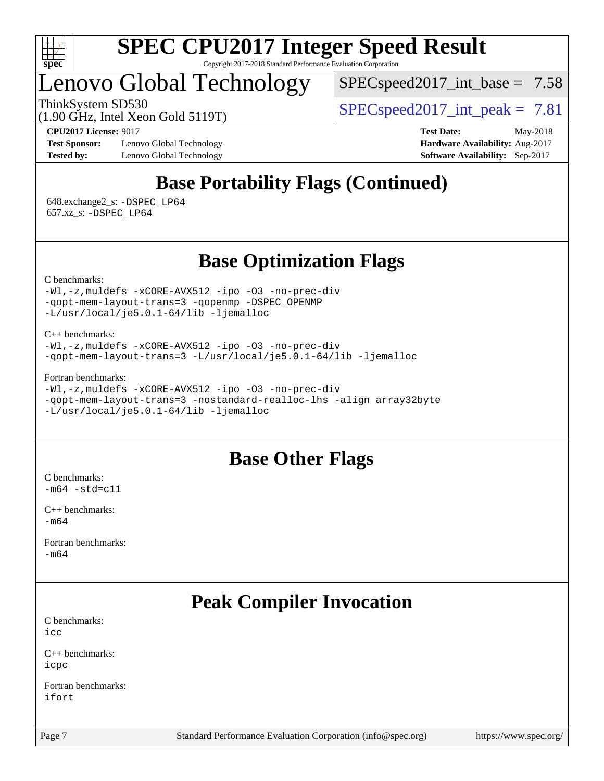

## Lenovo Global Technology

 $SPECspeed2017\_int\_base = 7.58$ 

ThinkSystem SD530  $SPEC speed2017$  int peak = 7.81

(1.90 GHz, Intel Xeon Gold 5119T)

**[Test Sponsor:](http://www.spec.org/auto/cpu2017/Docs/result-fields.html#TestSponsor)** Lenovo Global Technology **[Hardware Availability:](http://www.spec.org/auto/cpu2017/Docs/result-fields.html#HardwareAvailability)** Aug-2017 **[Tested by:](http://www.spec.org/auto/cpu2017/Docs/result-fields.html#Testedby)** Lenovo Global Technology **[Software Availability:](http://www.spec.org/auto/cpu2017/Docs/result-fields.html#SoftwareAvailability)** Sep-2017

**[CPU2017 License:](http://www.spec.org/auto/cpu2017/Docs/result-fields.html#CPU2017License)** 9017 **[Test Date:](http://www.spec.org/auto/cpu2017/Docs/result-fields.html#TestDate)** May-2018

## **[Base Portability Flags \(Continued\)](http://www.spec.org/auto/cpu2017/Docs/result-fields.html#BasePortabilityFlags)**

 648.exchange2\_s: [-DSPEC\\_LP64](http://www.spec.org/cpu2017/results/res2018q2/cpu2017-20180513-05479.flags.html#suite_basePORTABILITY648_exchange2_s_DSPEC_LP64) 657.xz\_s: [-DSPEC\\_LP64](http://www.spec.org/cpu2017/results/res2018q2/cpu2017-20180513-05479.flags.html#suite_basePORTABILITY657_xz_s_DSPEC_LP64)

## **[Base Optimization Flags](http://www.spec.org/auto/cpu2017/Docs/result-fields.html#BaseOptimizationFlags)**

[C benchmarks](http://www.spec.org/auto/cpu2017/Docs/result-fields.html#Cbenchmarks):

[-Wl,-z,muldefs](http://www.spec.org/cpu2017/results/res2018q2/cpu2017-20180513-05479.flags.html#user_CCbase_link_force_multiple1_b4cbdb97b34bdee9ceefcfe54f4c8ea74255f0b02a4b23e853cdb0e18eb4525ac79b5a88067c842dd0ee6996c24547a27a4b99331201badda8798ef8a743f577) [-xCORE-AVX512](http://www.spec.org/cpu2017/results/res2018q2/cpu2017-20180513-05479.flags.html#user_CCbase_f-xCORE-AVX512) [-ipo](http://www.spec.org/cpu2017/results/res2018q2/cpu2017-20180513-05479.flags.html#user_CCbase_f-ipo) [-O3](http://www.spec.org/cpu2017/results/res2018q2/cpu2017-20180513-05479.flags.html#user_CCbase_f-O3) [-no-prec-div](http://www.spec.org/cpu2017/results/res2018q2/cpu2017-20180513-05479.flags.html#user_CCbase_f-no-prec-div) [-qopt-mem-layout-trans=3](http://www.spec.org/cpu2017/results/res2018q2/cpu2017-20180513-05479.flags.html#user_CCbase_f-qopt-mem-layout-trans_de80db37974c74b1f0e20d883f0b675c88c3b01e9d123adea9b28688d64333345fb62bc4a798493513fdb68f60282f9a726aa07f478b2f7113531aecce732043) [-qopenmp](http://www.spec.org/cpu2017/results/res2018q2/cpu2017-20180513-05479.flags.html#user_CCbase_qopenmp_16be0c44f24f464004c6784a7acb94aca937f053568ce72f94b139a11c7c168634a55f6653758ddd83bcf7b8463e8028bb0b48b77bcddc6b78d5d95bb1df2967) [-DSPEC\\_OPENMP](http://www.spec.org/cpu2017/results/res2018q2/cpu2017-20180513-05479.flags.html#suite_CCbase_DSPEC_OPENMP) [-L/usr/local/je5.0.1-64/lib](http://www.spec.org/cpu2017/results/res2018q2/cpu2017-20180513-05479.flags.html#user_CCbase_jemalloc_link_path64_4b10a636b7bce113509b17f3bd0d6226c5fb2346b9178c2d0232c14f04ab830f976640479e5c33dc2bcbbdad86ecfb6634cbbd4418746f06f368b512fced5394) [-ljemalloc](http://www.spec.org/cpu2017/results/res2018q2/cpu2017-20180513-05479.flags.html#user_CCbase_jemalloc_link_lib_d1249b907c500fa1c0672f44f562e3d0f79738ae9e3c4a9c376d49f265a04b9c99b167ecedbf6711b3085be911c67ff61f150a17b3472be731631ba4d0471706)

[C++ benchmarks:](http://www.spec.org/auto/cpu2017/Docs/result-fields.html#CXXbenchmarks) [-Wl,-z,muldefs](http://www.spec.org/cpu2017/results/res2018q2/cpu2017-20180513-05479.flags.html#user_CXXbase_link_force_multiple1_b4cbdb97b34bdee9ceefcfe54f4c8ea74255f0b02a4b23e853cdb0e18eb4525ac79b5a88067c842dd0ee6996c24547a27a4b99331201badda8798ef8a743f577) [-xCORE-AVX512](http://www.spec.org/cpu2017/results/res2018q2/cpu2017-20180513-05479.flags.html#user_CXXbase_f-xCORE-AVX512) [-ipo](http://www.spec.org/cpu2017/results/res2018q2/cpu2017-20180513-05479.flags.html#user_CXXbase_f-ipo) [-O3](http://www.spec.org/cpu2017/results/res2018q2/cpu2017-20180513-05479.flags.html#user_CXXbase_f-O3) [-no-prec-div](http://www.spec.org/cpu2017/results/res2018q2/cpu2017-20180513-05479.flags.html#user_CXXbase_f-no-prec-div) [-qopt-mem-layout-trans=3](http://www.spec.org/cpu2017/results/res2018q2/cpu2017-20180513-05479.flags.html#user_CXXbase_f-qopt-mem-layout-trans_de80db37974c74b1f0e20d883f0b675c88c3b01e9d123adea9b28688d64333345fb62bc4a798493513fdb68f60282f9a726aa07f478b2f7113531aecce732043) [-L/usr/local/je5.0.1-64/lib](http://www.spec.org/cpu2017/results/res2018q2/cpu2017-20180513-05479.flags.html#user_CXXbase_jemalloc_link_path64_4b10a636b7bce113509b17f3bd0d6226c5fb2346b9178c2d0232c14f04ab830f976640479e5c33dc2bcbbdad86ecfb6634cbbd4418746f06f368b512fced5394) [-ljemalloc](http://www.spec.org/cpu2017/results/res2018q2/cpu2017-20180513-05479.flags.html#user_CXXbase_jemalloc_link_lib_d1249b907c500fa1c0672f44f562e3d0f79738ae9e3c4a9c376d49f265a04b9c99b167ecedbf6711b3085be911c67ff61f150a17b3472be731631ba4d0471706)

[Fortran benchmarks](http://www.spec.org/auto/cpu2017/Docs/result-fields.html#Fortranbenchmarks):

[-Wl,-z,muldefs](http://www.spec.org/cpu2017/results/res2018q2/cpu2017-20180513-05479.flags.html#user_FCbase_link_force_multiple1_b4cbdb97b34bdee9ceefcfe54f4c8ea74255f0b02a4b23e853cdb0e18eb4525ac79b5a88067c842dd0ee6996c24547a27a4b99331201badda8798ef8a743f577) [-xCORE-AVX512](http://www.spec.org/cpu2017/results/res2018q2/cpu2017-20180513-05479.flags.html#user_FCbase_f-xCORE-AVX512) [-ipo](http://www.spec.org/cpu2017/results/res2018q2/cpu2017-20180513-05479.flags.html#user_FCbase_f-ipo) [-O3](http://www.spec.org/cpu2017/results/res2018q2/cpu2017-20180513-05479.flags.html#user_FCbase_f-O3) [-no-prec-div](http://www.spec.org/cpu2017/results/res2018q2/cpu2017-20180513-05479.flags.html#user_FCbase_f-no-prec-div) [-qopt-mem-layout-trans=3](http://www.spec.org/cpu2017/results/res2018q2/cpu2017-20180513-05479.flags.html#user_FCbase_f-qopt-mem-layout-trans_de80db37974c74b1f0e20d883f0b675c88c3b01e9d123adea9b28688d64333345fb62bc4a798493513fdb68f60282f9a726aa07f478b2f7113531aecce732043) [-nostandard-realloc-lhs](http://www.spec.org/cpu2017/results/res2018q2/cpu2017-20180513-05479.flags.html#user_FCbase_f_2003_std_realloc_82b4557e90729c0f113870c07e44d33d6f5a304b4f63d4c15d2d0f1fab99f5daaed73bdb9275d9ae411527f28b936061aa8b9c8f2d63842963b95c9dd6426b8a) [-align array32byte](http://www.spec.org/cpu2017/results/res2018q2/cpu2017-20180513-05479.flags.html#user_FCbase_align_array32byte_b982fe038af199962ba9a80c053b8342c548c85b40b8e86eb3cc33dee0d7986a4af373ac2d51c3f7cf710a18d62fdce2948f201cd044323541f22fc0fffc51b6) [-L/usr/local/je5.0.1-64/lib](http://www.spec.org/cpu2017/results/res2018q2/cpu2017-20180513-05479.flags.html#user_FCbase_jemalloc_link_path64_4b10a636b7bce113509b17f3bd0d6226c5fb2346b9178c2d0232c14f04ab830f976640479e5c33dc2bcbbdad86ecfb6634cbbd4418746f06f368b512fced5394) [-ljemalloc](http://www.spec.org/cpu2017/results/res2018q2/cpu2017-20180513-05479.flags.html#user_FCbase_jemalloc_link_lib_d1249b907c500fa1c0672f44f562e3d0f79738ae9e3c4a9c376d49f265a04b9c99b167ecedbf6711b3085be911c67ff61f150a17b3472be731631ba4d0471706)

## **[Base Other Flags](http://www.spec.org/auto/cpu2017/Docs/result-fields.html#BaseOtherFlags)**

[C benchmarks](http://www.spec.org/auto/cpu2017/Docs/result-fields.html#Cbenchmarks):  $-m64$   $-std=cl1$ 

[C++ benchmarks:](http://www.spec.org/auto/cpu2017/Docs/result-fields.html#CXXbenchmarks) [-m64](http://www.spec.org/cpu2017/results/res2018q2/cpu2017-20180513-05479.flags.html#user_CXXbase_intel_intel64_18.0_af43caccfc8ded86e7699f2159af6efc7655f51387b94da716254467f3c01020a5059329e2569e4053f409e7c9202a7efc638f7a6d1ffb3f52dea4a3e31d82ab)

[Fortran benchmarks](http://www.spec.org/auto/cpu2017/Docs/result-fields.html#Fortranbenchmarks): [-m64](http://www.spec.org/cpu2017/results/res2018q2/cpu2017-20180513-05479.flags.html#user_FCbase_intel_intel64_18.0_af43caccfc8ded86e7699f2159af6efc7655f51387b94da716254467f3c01020a5059329e2569e4053f409e7c9202a7efc638f7a6d1ffb3f52dea4a3e31d82ab)

## **[Peak Compiler Invocation](http://www.spec.org/auto/cpu2017/Docs/result-fields.html#PeakCompilerInvocation)**

[C benchmarks](http://www.spec.org/auto/cpu2017/Docs/result-fields.html#Cbenchmarks): [icc](http://www.spec.org/cpu2017/results/res2018q2/cpu2017-20180513-05479.flags.html#user_CCpeak_intel_icc_18.0_66fc1ee009f7361af1fbd72ca7dcefbb700085f36577c54f309893dd4ec40d12360134090235512931783d35fd58c0460139e722d5067c5574d8eaf2b3e37e92)

[C++ benchmarks:](http://www.spec.org/auto/cpu2017/Docs/result-fields.html#CXXbenchmarks) [icpc](http://www.spec.org/cpu2017/results/res2018q2/cpu2017-20180513-05479.flags.html#user_CXXpeak_intel_icpc_18.0_c510b6838c7f56d33e37e94d029a35b4a7bccf4766a728ee175e80a419847e808290a9b78be685c44ab727ea267ec2f070ec5dc83b407c0218cded6866a35d07)

[Fortran benchmarks](http://www.spec.org/auto/cpu2017/Docs/result-fields.html#Fortranbenchmarks): [ifort](http://www.spec.org/cpu2017/results/res2018q2/cpu2017-20180513-05479.flags.html#user_FCpeak_intel_ifort_18.0_8111460550e3ca792625aed983ce982f94888b8b503583aa7ba2b8303487b4d8a21a13e7191a45c5fd58ff318f48f9492884d4413fa793fd88dd292cad7027ca)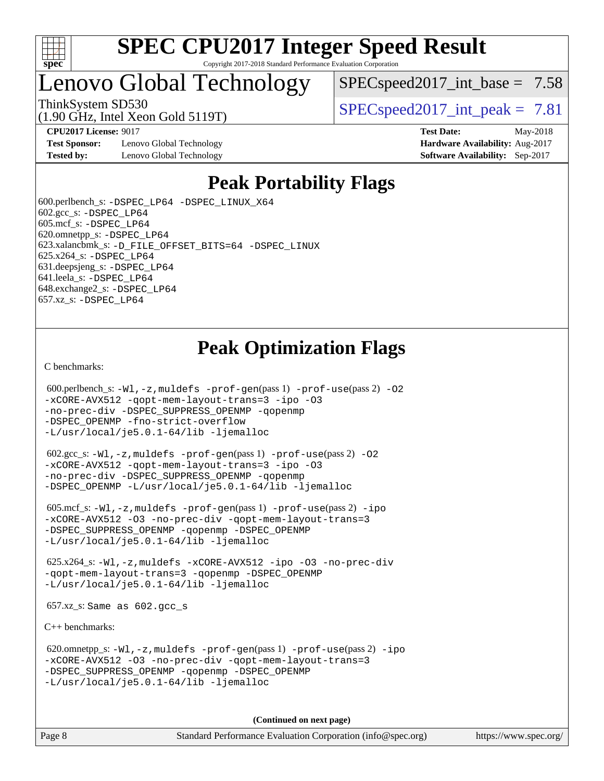

## Lenovo Global Technology

 $SPECspeed2017\_int\_base = 7.58$ 

(1.90 GHz, Intel Xeon Gold 5119T)

ThinkSystem SD530  $SPEC speed2017$  int peak = 7.81

**[CPU2017 License:](http://www.spec.org/auto/cpu2017/Docs/result-fields.html#CPU2017License)** 9017 **[Test Date:](http://www.spec.org/auto/cpu2017/Docs/result-fields.html#TestDate)** May-2018

**[Test Sponsor:](http://www.spec.org/auto/cpu2017/Docs/result-fields.html#TestSponsor)** Lenovo Global Technology **[Hardware Availability:](http://www.spec.org/auto/cpu2017/Docs/result-fields.html#HardwareAvailability)** Aug-2017 **[Tested by:](http://www.spec.org/auto/cpu2017/Docs/result-fields.html#Testedby)** Lenovo Global Technology **[Software Availability:](http://www.spec.org/auto/cpu2017/Docs/result-fields.html#SoftwareAvailability)** Sep-2017

## **[Peak Portability Flags](http://www.spec.org/auto/cpu2017/Docs/result-fields.html#PeakPortabilityFlags)**

 600.perlbench\_s: [-DSPEC\\_LP64](http://www.spec.org/cpu2017/results/res2018q2/cpu2017-20180513-05479.flags.html#b600.perlbench_s_peakPORTABILITY_DSPEC_LP64) [-DSPEC\\_LINUX\\_X64](http://www.spec.org/cpu2017/results/res2018q2/cpu2017-20180513-05479.flags.html#b600.perlbench_s_peakCPORTABILITY_DSPEC_LINUX_X64) 602.gcc\_s: [-DSPEC\\_LP64](http://www.spec.org/cpu2017/results/res2018q2/cpu2017-20180513-05479.flags.html#suite_peakPORTABILITY602_gcc_s_DSPEC_LP64) 605.mcf\_s: [-DSPEC\\_LP64](http://www.spec.org/cpu2017/results/res2018q2/cpu2017-20180513-05479.flags.html#suite_peakPORTABILITY605_mcf_s_DSPEC_LP64) 620.omnetpp\_s: [-DSPEC\\_LP64](http://www.spec.org/cpu2017/results/res2018q2/cpu2017-20180513-05479.flags.html#suite_peakPORTABILITY620_omnetpp_s_DSPEC_LP64) 623.xalancbmk\_s: [-D\\_FILE\\_OFFSET\\_BITS=64](http://www.spec.org/cpu2017/results/res2018q2/cpu2017-20180513-05479.flags.html#user_peakPORTABILITY623_xalancbmk_s_file_offset_bits_64_5ae949a99b284ddf4e95728d47cb0843d81b2eb0e18bdfe74bbf0f61d0b064f4bda2f10ea5eb90e1dcab0e84dbc592acfc5018bc955c18609f94ddb8d550002c) [-DSPEC\\_LINUX](http://www.spec.org/cpu2017/results/res2018q2/cpu2017-20180513-05479.flags.html#b623.xalancbmk_s_peakCXXPORTABILITY_DSPEC_LINUX) 625.x264\_s: [-DSPEC\\_LP64](http://www.spec.org/cpu2017/results/res2018q2/cpu2017-20180513-05479.flags.html#suite_peakPORTABILITY625_x264_s_DSPEC_LP64) 631.deepsjeng\_s: [-DSPEC\\_LP64](http://www.spec.org/cpu2017/results/res2018q2/cpu2017-20180513-05479.flags.html#suite_peakPORTABILITY631_deepsjeng_s_DSPEC_LP64) 641.leela\_s: [-DSPEC\\_LP64](http://www.spec.org/cpu2017/results/res2018q2/cpu2017-20180513-05479.flags.html#suite_peakPORTABILITY641_leela_s_DSPEC_LP64) 648.exchange2\_s: [-DSPEC\\_LP64](http://www.spec.org/cpu2017/results/res2018q2/cpu2017-20180513-05479.flags.html#suite_peakPORTABILITY648_exchange2_s_DSPEC_LP64) 657.xz\_s: [-DSPEC\\_LP64](http://www.spec.org/cpu2017/results/res2018q2/cpu2017-20180513-05479.flags.html#suite_peakPORTABILITY657_xz_s_DSPEC_LP64)

## **[Peak Optimization Flags](http://www.spec.org/auto/cpu2017/Docs/result-fields.html#PeakOptimizationFlags)**

[C benchmarks](http://www.spec.org/auto/cpu2017/Docs/result-fields.html#Cbenchmarks):

```
600.perlbench_s: -W1-prof-gen-prof-use(pass 2) -02
-xCORE-AVX512 -qopt-mem-layout-trans=3 -ipo -O3
-no-prec-div -DSPEC_SUPPRESS_OPENMP -qopenmp
-DSPEC_OPENMP -fno-strict-overflow
-L/usr/local/je5.0.1-64/lib -ljemalloc
```
 602.gcc\_s: [-Wl,-z,muldefs](http://www.spec.org/cpu2017/results/res2018q2/cpu2017-20180513-05479.flags.html#user_peakEXTRA_LDFLAGS602_gcc_s_link_force_multiple1_b4cbdb97b34bdee9ceefcfe54f4c8ea74255f0b02a4b23e853cdb0e18eb4525ac79b5a88067c842dd0ee6996c24547a27a4b99331201badda8798ef8a743f577) [-prof-gen](http://www.spec.org/cpu2017/results/res2018q2/cpu2017-20180513-05479.flags.html#user_peakPASS1_CFLAGSPASS1_LDFLAGS602_gcc_s_prof_gen_5aa4926d6013ddb2a31985c654b3eb18169fc0c6952a63635c234f711e6e63dd76e94ad52365559451ec499a2cdb89e4dc58ba4c67ef54ca681ffbe1461d6b36)(pass 1) [-prof-use](http://www.spec.org/cpu2017/results/res2018q2/cpu2017-20180513-05479.flags.html#user_peakPASS2_CFLAGSPASS2_LDFLAGS602_gcc_s_prof_use_1a21ceae95f36a2b53c25747139a6c16ca95bd9def2a207b4f0849963b97e94f5260e30a0c64f4bb623698870e679ca08317ef8150905d41bd88c6f78df73f19)(pass 2) [-O2](http://www.spec.org/cpu2017/results/res2018q2/cpu2017-20180513-05479.flags.html#user_peakPASS1_COPTIMIZE602_gcc_s_f-O2) [-xCORE-AVX512](http://www.spec.org/cpu2017/results/res2018q2/cpu2017-20180513-05479.flags.html#user_peakPASS2_COPTIMIZE602_gcc_s_f-xCORE-AVX512) [-qopt-mem-layout-trans=3](http://www.spec.org/cpu2017/results/res2018q2/cpu2017-20180513-05479.flags.html#user_peakPASS1_COPTIMIZEPASS2_COPTIMIZE602_gcc_s_f-qopt-mem-layout-trans_de80db37974c74b1f0e20d883f0b675c88c3b01e9d123adea9b28688d64333345fb62bc4a798493513fdb68f60282f9a726aa07f478b2f7113531aecce732043) [-ipo](http://www.spec.org/cpu2017/results/res2018q2/cpu2017-20180513-05479.flags.html#user_peakPASS2_COPTIMIZE602_gcc_s_f-ipo) [-O3](http://www.spec.org/cpu2017/results/res2018q2/cpu2017-20180513-05479.flags.html#user_peakPASS2_COPTIMIZE602_gcc_s_f-O3) [-no-prec-div](http://www.spec.org/cpu2017/results/res2018q2/cpu2017-20180513-05479.flags.html#user_peakPASS2_COPTIMIZE602_gcc_s_f-no-prec-div) [-DSPEC\\_SUPPRESS\\_OPENMP](http://www.spec.org/cpu2017/results/res2018q2/cpu2017-20180513-05479.flags.html#suite_peakPASS1_COPTIMIZE602_gcc_s_DSPEC_SUPPRESS_OPENMP) [-qopenmp](http://www.spec.org/cpu2017/results/res2018q2/cpu2017-20180513-05479.flags.html#user_peakPASS2_COPTIMIZE602_gcc_s_qopenmp_16be0c44f24f464004c6784a7acb94aca937f053568ce72f94b139a11c7c168634a55f6653758ddd83bcf7b8463e8028bb0b48b77bcddc6b78d5d95bb1df2967) [-DSPEC\\_OPENMP](http://www.spec.org/cpu2017/results/res2018q2/cpu2017-20180513-05479.flags.html#suite_peakPASS2_COPTIMIZE602_gcc_s_DSPEC_OPENMP) [-L/usr/local/je5.0.1-64/lib](http://www.spec.org/cpu2017/results/res2018q2/cpu2017-20180513-05479.flags.html#user_peakEXTRA_LIBS602_gcc_s_jemalloc_link_path64_4b10a636b7bce113509b17f3bd0d6226c5fb2346b9178c2d0232c14f04ab830f976640479e5c33dc2bcbbdad86ecfb6634cbbd4418746f06f368b512fced5394) [-ljemalloc](http://www.spec.org/cpu2017/results/res2018q2/cpu2017-20180513-05479.flags.html#user_peakEXTRA_LIBS602_gcc_s_jemalloc_link_lib_d1249b907c500fa1c0672f44f562e3d0f79738ae9e3c4a9c376d49f265a04b9c99b167ecedbf6711b3085be911c67ff61f150a17b3472be731631ba4d0471706)

 605.mcf\_s: [-Wl,-z,muldefs](http://www.spec.org/cpu2017/results/res2018q2/cpu2017-20180513-05479.flags.html#user_peakEXTRA_LDFLAGS605_mcf_s_link_force_multiple1_b4cbdb97b34bdee9ceefcfe54f4c8ea74255f0b02a4b23e853cdb0e18eb4525ac79b5a88067c842dd0ee6996c24547a27a4b99331201badda8798ef8a743f577) [-prof-gen](http://www.spec.org/cpu2017/results/res2018q2/cpu2017-20180513-05479.flags.html#user_peakPASS1_CFLAGSPASS1_LDFLAGS605_mcf_s_prof_gen_5aa4926d6013ddb2a31985c654b3eb18169fc0c6952a63635c234f711e6e63dd76e94ad52365559451ec499a2cdb89e4dc58ba4c67ef54ca681ffbe1461d6b36)(pass 1) [-prof-use](http://www.spec.org/cpu2017/results/res2018q2/cpu2017-20180513-05479.flags.html#user_peakPASS2_CFLAGSPASS2_LDFLAGS605_mcf_s_prof_use_1a21ceae95f36a2b53c25747139a6c16ca95bd9def2a207b4f0849963b97e94f5260e30a0c64f4bb623698870e679ca08317ef8150905d41bd88c6f78df73f19)(pass 2) [-ipo](http://www.spec.org/cpu2017/results/res2018q2/cpu2017-20180513-05479.flags.html#user_peakPASS1_COPTIMIZEPASS2_COPTIMIZE605_mcf_s_f-ipo) [-xCORE-AVX512](http://www.spec.org/cpu2017/results/res2018q2/cpu2017-20180513-05479.flags.html#user_peakPASS2_COPTIMIZE605_mcf_s_f-xCORE-AVX512) [-O3](http://www.spec.org/cpu2017/results/res2018q2/cpu2017-20180513-05479.flags.html#user_peakPASS1_COPTIMIZEPASS2_COPTIMIZE605_mcf_s_f-O3) [-no-prec-div](http://www.spec.org/cpu2017/results/res2018q2/cpu2017-20180513-05479.flags.html#user_peakPASS1_COPTIMIZEPASS2_COPTIMIZE605_mcf_s_f-no-prec-div) [-qopt-mem-layout-trans=3](http://www.spec.org/cpu2017/results/res2018q2/cpu2017-20180513-05479.flags.html#user_peakPASS1_COPTIMIZEPASS2_COPTIMIZE605_mcf_s_f-qopt-mem-layout-trans_de80db37974c74b1f0e20d883f0b675c88c3b01e9d123adea9b28688d64333345fb62bc4a798493513fdb68f60282f9a726aa07f478b2f7113531aecce732043) [-DSPEC\\_SUPPRESS\\_OPENMP](http://www.spec.org/cpu2017/results/res2018q2/cpu2017-20180513-05479.flags.html#suite_peakPASS1_COPTIMIZE605_mcf_s_DSPEC_SUPPRESS_OPENMP) [-qopenmp](http://www.spec.org/cpu2017/results/res2018q2/cpu2017-20180513-05479.flags.html#user_peakPASS2_COPTIMIZE605_mcf_s_qopenmp_16be0c44f24f464004c6784a7acb94aca937f053568ce72f94b139a11c7c168634a55f6653758ddd83bcf7b8463e8028bb0b48b77bcddc6b78d5d95bb1df2967) [-DSPEC\\_OPENMP](http://www.spec.org/cpu2017/results/res2018q2/cpu2017-20180513-05479.flags.html#suite_peakPASS2_COPTIMIZE605_mcf_s_DSPEC_OPENMP) [-L/usr/local/je5.0.1-64/lib](http://www.spec.org/cpu2017/results/res2018q2/cpu2017-20180513-05479.flags.html#user_peakEXTRA_LIBS605_mcf_s_jemalloc_link_path64_4b10a636b7bce113509b17f3bd0d6226c5fb2346b9178c2d0232c14f04ab830f976640479e5c33dc2bcbbdad86ecfb6634cbbd4418746f06f368b512fced5394) [-ljemalloc](http://www.spec.org/cpu2017/results/res2018q2/cpu2017-20180513-05479.flags.html#user_peakEXTRA_LIBS605_mcf_s_jemalloc_link_lib_d1249b907c500fa1c0672f44f562e3d0f79738ae9e3c4a9c376d49f265a04b9c99b167ecedbf6711b3085be911c67ff61f150a17b3472be731631ba4d0471706)

 625.x264\_s: [-Wl,-z,muldefs](http://www.spec.org/cpu2017/results/res2018q2/cpu2017-20180513-05479.flags.html#user_peakEXTRA_LDFLAGS625_x264_s_link_force_multiple1_b4cbdb97b34bdee9ceefcfe54f4c8ea74255f0b02a4b23e853cdb0e18eb4525ac79b5a88067c842dd0ee6996c24547a27a4b99331201badda8798ef8a743f577) [-xCORE-AVX512](http://www.spec.org/cpu2017/results/res2018q2/cpu2017-20180513-05479.flags.html#user_peakCOPTIMIZE625_x264_s_f-xCORE-AVX512) [-ipo](http://www.spec.org/cpu2017/results/res2018q2/cpu2017-20180513-05479.flags.html#user_peakCOPTIMIZE625_x264_s_f-ipo) [-O3](http://www.spec.org/cpu2017/results/res2018q2/cpu2017-20180513-05479.flags.html#user_peakCOPTIMIZE625_x264_s_f-O3) [-no-prec-div](http://www.spec.org/cpu2017/results/res2018q2/cpu2017-20180513-05479.flags.html#user_peakCOPTIMIZE625_x264_s_f-no-prec-div) [-qopt-mem-layout-trans=3](http://www.spec.org/cpu2017/results/res2018q2/cpu2017-20180513-05479.flags.html#user_peakCOPTIMIZE625_x264_s_f-qopt-mem-layout-trans_de80db37974c74b1f0e20d883f0b675c88c3b01e9d123adea9b28688d64333345fb62bc4a798493513fdb68f60282f9a726aa07f478b2f7113531aecce732043) [-qopenmp](http://www.spec.org/cpu2017/results/res2018q2/cpu2017-20180513-05479.flags.html#user_peakCOPTIMIZE625_x264_s_qopenmp_16be0c44f24f464004c6784a7acb94aca937f053568ce72f94b139a11c7c168634a55f6653758ddd83bcf7b8463e8028bb0b48b77bcddc6b78d5d95bb1df2967) [-DSPEC\\_OPENMP](http://www.spec.org/cpu2017/results/res2018q2/cpu2017-20180513-05479.flags.html#suite_peakCOPTIMIZE625_x264_s_DSPEC_OPENMP) [-L/usr/local/je5.0.1-64/lib](http://www.spec.org/cpu2017/results/res2018q2/cpu2017-20180513-05479.flags.html#user_peakEXTRA_LIBS625_x264_s_jemalloc_link_path64_4b10a636b7bce113509b17f3bd0d6226c5fb2346b9178c2d0232c14f04ab830f976640479e5c33dc2bcbbdad86ecfb6634cbbd4418746f06f368b512fced5394) [-ljemalloc](http://www.spec.org/cpu2017/results/res2018q2/cpu2017-20180513-05479.flags.html#user_peakEXTRA_LIBS625_x264_s_jemalloc_link_lib_d1249b907c500fa1c0672f44f562e3d0f79738ae9e3c4a9c376d49f265a04b9c99b167ecedbf6711b3085be911c67ff61f150a17b3472be731631ba4d0471706)

657.xz\_s: Same as 602.gcc\_s

[C++ benchmarks:](http://www.spec.org/auto/cpu2017/Docs/result-fields.html#CXXbenchmarks)

```
 620.omnetpp_s: -Wl,-z,muldefs -prof-gen(pass 1) -prof-use(pass 2) -ipo
-xCORE-AVX512 -O3 -no-prec-div -qopt-mem-layout-trans=3
-DSPEC_SUPPRESS_OPENMP -qopenmp -DSPEC_OPENMP
-L/usr/local/je5.0.1-64/lib -ljemalloc
```
**(Continued on next page)**